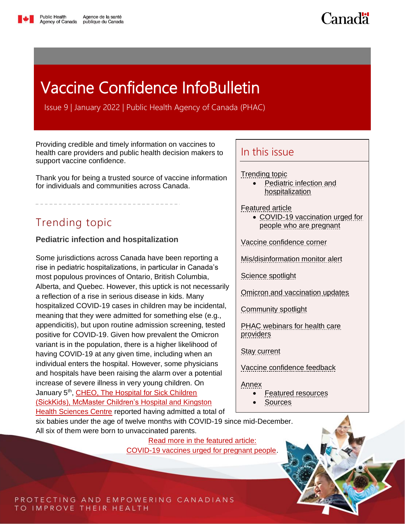

Canadä

# <span id="page-0-1"></span>Vaccine Confidence InfoBulletin

Issue 9 | January 2022 | Public Health Agency of Canada (PHAC)

Providing credible and timely information on vaccines to health care providers and public health decision makers to support vaccine confidence.

Thank you for being a trusted source of vaccine information for individuals and communities across Canada.

# <span id="page-0-0"></span>Trending topic

### **Pediatric infection and hospitalization**

Some jurisdictions across Canada have been reporting a rise in pediatric hospitalizations, in particular in Canada's most populous provinces of Ontario, British Columbia, Alberta, and Quebec. However, this uptick is not necessarily a reflection of a rise in serious disease in kids. Many hospitalized COVID-19 cases in children may be incidental, meaning that they were admitted for something else (e.g., appendicitis), but upon routine admission screening, tested positive for COVID-19. Given how prevalent the Omicron variant is in the population, there is a higher likelihood of having COVID-19 at any given time, including when an individual enters the hospital. However, some physicians and hospitals have been raising the alarm over a potential increase of severe illness in very young children. On January 5<sup>th</sup>, CHEO, The Hospital for Sick Children [\(SickKids\), McMaster Children's Hospital and Kingston](https://bit.ly/EN-Source-C19Vaccines-Pregnancy-CHEOandHamiltonsMcMasterChildrensHospital)  [Health Sciences Centre](https://bit.ly/EN-Source-C19Vaccines-Pregnancy-CHEOandHamiltonsMcMasterChildrensHospital) reported having admitted a total of

### In this issue

[Trending topic](#page-0-0)

- Pediatric infection and [hospitalization](#page-0-0)
- [Featured article](#page-1-0)
	- [COVID-19 vaccination urged for](#page-1-0)  [people who are pregnant](#page-1-0)

[Vaccine confidence corner](#page-2-0)

[Mis/disinformation monitor alert](#page-4-0)

[Science spotlight](#page-5-0)

[Omicron and vaccination updates](#page-7-0) 

[Community spotlight](#page-9-0) 

[PHAC webinars for health care](#page-10-0)  [providers](#page-10-0)

[Stay current](#page-11-0)

[Vaccine confidence feedback](#page-11-1)

[Annex](#page-12-0)

- [Featured resources](#page-12-0)
- [Sources](#page-13-0)

six babies under the age of twelve months with COVID-19 since mid-December. All six of them were born to unvaccinated parents.

> [Read more in the featured article:](#page-1-0) [COVID-19 vaccines urged for pregnant people.](#page-1-1)

PROTECTING AND EMPOWERING CANADIANS TO IMPROVE THEIR HEALTH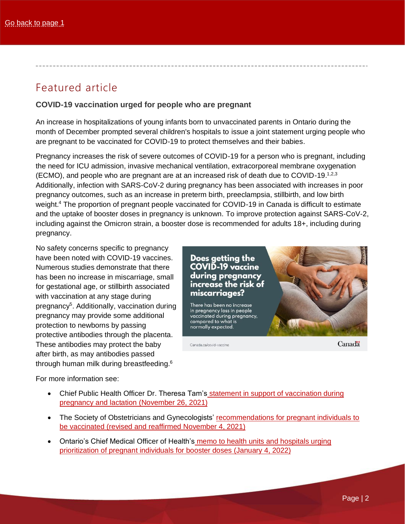# <span id="page-1-0"></span>Featured article

### <span id="page-1-1"></span>**COVID-19 vaccination urged for people who are pregnant**

An increase in hospitalizations of young infants born to unvaccinated parents in Ontario during the month of December prompted several children's hospitals to issue a joint statement [urging people who](https://www.cheo.on.ca/en/news/pregnant-individuals-urged-to-get-vaccinated-amid-hospitalization-of-infants-with-covid-19.aspx)  [are pregnant to be vaccinated for COVID-19 to protect themselves and their babies.](https://www.cheo.on.ca/en/news/pregnant-individuals-urged-to-get-vaccinated-amid-hospitalization-of-infants-with-covid-19.aspx)

Pregnancy increases the risk of severe outcomes of COVID-19 for a person who is pregnant, including the need for ICU admission, invasive mechanical ventilation, extracorporeal membrane oxygenation (ECMO), and people who are pregnant are at an increased risk of death due to COVID-19.<sup>1,2,3</sup> Additionally, infection with SARS-CoV-2 during pregnancy has been associated with increases in poor pregnancy outcomes, such as an increase in preterm birth, preeclampsia, stillbirth, and low birth weight.<sup>4</sup> The proportion of pregnant people vaccinated for COVID-19 in Canada is difficult to estimate and the uptake of booster doses in pregnancy is unknown. To improve protection against SARS-CoV-2, including against the Omicron strain, a booster dose is recommended for adults 18+, including during pregnancy.

No safety concerns specific to pregnancy have been noted with COVID-19 vaccines. Numerous studies demonstrate that there has been no increase in miscarriage, small for gestational age, or stillbirth associated with vaccination at any stage during pregnancy<sup>5</sup>. Additionally, vaccination during pregnancy may provide some additional protection to newborns by passing protective antibodies through the placenta. These antibodies may protect the baby after birth, as may antibodies passed through human milk during breastfeeding.<sup>6</sup>

Does getting the **COVID-19 vaccine** during pregnancy increase the risk of miscarriages? There has been no increase in pregnancy loss in people vaccinated during pregnancy, compared to what is normally expected.

Canada ca/covid-vaccine

Canadä

For more information see:

- [Chief Public Health Officer Dr. Theresa Tam's](https://bit.ly/EN-PHAC-C19Vaccines-Pregnancy-DrTam) statement in support of vaccination during [pregnancy and lactation](https://bit.ly/EN-PHAC-C19Vaccines-Pregnancy-DrTam) (November 26, 2021)
- The Society of Obstetricians and Gynecologists' recommendations for pregnant individuals to [be vaccinated \(revised and reaffirmed November 4, 2021\)](https://bit.ly/EN-SOGC-C19Vaccines-PregnancyStatement)
- Ontario's Chief Medical Officer of Health's [memo to health units and hospitals urging](https://bit.ly/EN-GovON)  [prioritization of pregnant individuals for booster doses \(January 4, 2022\)](https://bit.ly/EN-GovON)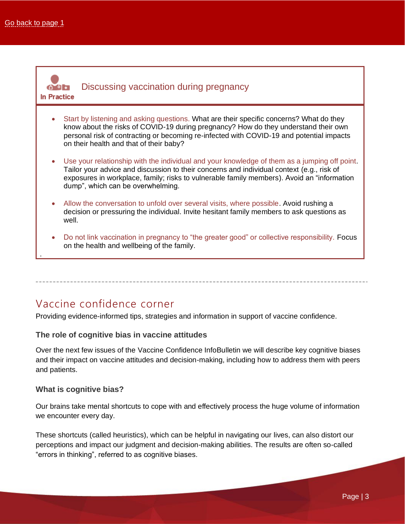

### Vaccine confidence corner

<span id="page-2-0"></span>Providing evidence-informed tips, strategies and information in support of vaccine confidence.

### **The role of cognitive bias in vaccine attitudes**

Over the next few issues of the Vaccine Confidence InfoBulletin we will describe key cognitive biases and their impact on vaccine attitudes and decision-making, including how to address them with peers and patients.

### **What is cognitive bias?**

Our brains take mental shortcuts to cope with and effectively process the huge volume of information we encounter every day.

These shortcuts (called heuristics), which can be helpful in navigating our lives, can also distort our perceptions and impact our judgment and decision-making abilities. The results are often so-called "errors in thinking", referred to as cognitive biases.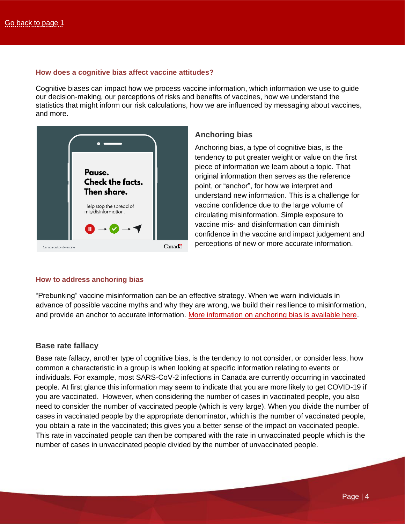#### **How does a cognitive bias affect vaccine attitudes?**

Cognitive biases can impact how we process vaccine information, which information we use to guide our decision-making, our perceptions of risks and benefits of vaccines, how we understand the statistics that might inform our risk calculations, how we are influenced by messaging about vaccines, and more.



### **Anchoring bias**

Anchoring bias, a type of cognitive bias, is the tendency to put greater weight or value on the first piece of information we learn about a topic. That original information then serves as the reference point, or "anchor", for how we interpret and understand new information. This is a challenge for vaccine confidence due to the large volume of circulating misinformation. Simple exposure to vaccine mis- and disinformation can diminish confidence in the vaccine and impact judgement and perceptions of new or more accurate information.

#### **How to address anchoring bias**

"Prebunking" vaccine misinformation can be an effective strategy. When we warn individuals in advance of possible vaccine myths and why they are wrong, we build their resilience to misinformation, and provide an anchor to accurate information. [More information on anchoring bias is available here.](https://bit.ly/EN-SOURCE-AnchoringBias)

#### **Base rate fallacy**

Base rate fallacy, another type of cognitive bias, is the tendency to not consider, or consider less, how common a characteristic in a group is when looking at specific information relating to events or individuals. For example, most SARS-CoV-2 infections in Canada are currently occurring in vaccinated people. At first glance this information may seem to indicate that you are more likely to get COVID-19 if you are vaccinated. However, when considering the number of cases in vaccinated people, you also need to consider the number of vaccinated people (which is very large). When you divide the number of cases in vaccinated people by the appropriate denominator, which is the number of vaccinated people, you obtain a rate in the vaccinated; this gives you a better sense of the impact on vaccinated people. This rate in vaccinated people can then be compared with the rate in unvaccinated people which is the number of cases in unvaccinated people divided by the number of unvaccinated people.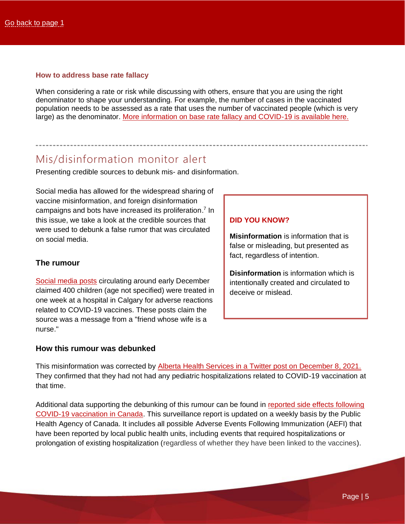#### **How to address base rate fallacy**

When considering a rate or risk while discussing with others, ensure that you are using the right denominator to shape your understanding. For example, the number of cases in the vaccinated population needs to be assessed as a rate that uses the number of vaccinated people (which is very large) as the denominator. [More information on base rate fallacy and COVID-19 is available here.](https://bit.ly/EN-SOURCE-BaseRateFallacy)

### Mis/disinformation monitor alert

<span id="page-4-0"></span>Presenting credible sources to debunk mis- and disinformation.

Social media has allowed for the widespread sharing of vaccine misinformation, and foreign disinformation campaigns and bots have increased its proliferation.<sup>7</sup> In this issue, we take a look at the credible sources that were used to debunk a false rumor that was circulated on social media.

### **The rumour**

[Social media posts](https://bit.ly/EN-Posts-Rumour-PedHospitalizations) circulating around early December claimed 400 children (age not specified) were treated in one week at a hospital in Calgary for adverse reactions related to COVID-19 vaccines. These posts claim the source was a message from a "friend whose wife is a nurse."

### **DID YOU KNOW?**

**Misinformation** is information that is false or misleading, but presented as fact, regardless of intention.

**Disinformation** is information which is intentionally created and circulated to deceive or mislead.

#### **How this rumour was debunked**

This misinformation was corrected by [Alberta Health Services in a Twitter post on December 8, 2021.](https://bit.ly/ENOnly-GovAB-Twitter-Rumour-PedHospitalizations) They confirmed that they had not had any pediatric hospitalizations related to COVID-19 vaccination at that time.

Additional data supporting the debunking of this rumour can be found in [reported side effects following](https://bit.ly/EN-PHAC-C19Vaccines-WeeklySideEffects)  [COVID-19 vaccination in Canada.](https://bit.ly/EN-PHAC-C19Vaccines-WeeklySideEffects) This surveillance report is updated on a weekly basis by the Public Health Agency of Canada. It includes all possible Adverse Events Following Immunization (AEFI) that have been reported by local public health units, including events that required hospitalizations or prolongation of existing hospitalization (regardless of whether they have been linked to the vaccines).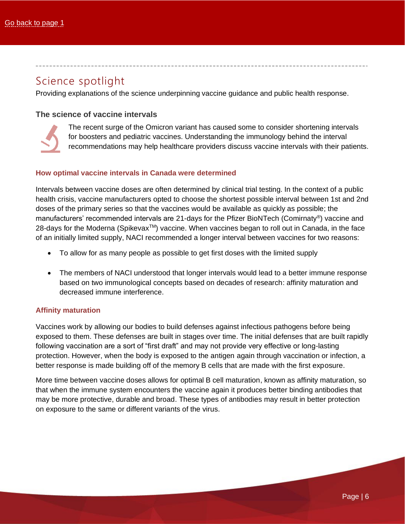### <span id="page-5-0"></span>Science spotlight

Providing explanations of the science underpinning vaccine guidance and public health response.

### **The science of vaccine intervals**



The recent surge of the Omicron variant has caused some to consider shortening intervals for boosters and pediatric vaccines. Understanding the immunology behind the interval recommendations may help healthcare providers discuss vaccine intervals with their patients.

### **How optimal vaccine intervals in Canada were determined**

Intervals between vaccine doses are often determined by clinical trial testing. In the context of a public health crisis, vaccine manufacturers opted to choose the shortest possible interval between 1st and 2nd doses of the primary series so that the vaccines would be available as quickly as possible; the manufacturers' recommended intervals are 21-days for the Pfizer BioNTech (Comirnaty®) vaccine and 28-days for the Moderna (Spikevax<sup>™</sup>) vaccine. When vaccines began to roll out in Canada, in the face of an initially limited supply, NACI recommended a longer interval between vaccines for two reasons:

- To allow for as many people as possible to get first doses with the limited supply
- The members of NACI understood that longer intervals would lead to a better immune response based on two immunological concepts based on decades of research: affinity maturation and decreased immune interference.

### **Affinity maturation**

Vaccines work by allowing our bodies to build defenses against infectious pathogens before being exposed to them. These defenses are built in stages over time. The initial defenses that are built rapidly following vaccination are a sort of "first draft" and may not provide very effective or long-lasting protection. However, when the body is exposed to the antigen again through vaccination or infection, a better response is made building off of the memory B cells that are made with the first exposure.

More time between vaccine doses allows for optimal B cell maturation, known as affinity maturation, so that when the immune system encounters the vaccine again it produces better binding antibodies that may be more protective, durable and broad. These types of antibodies may result in better protection on exposure to the same or different variants of the virus.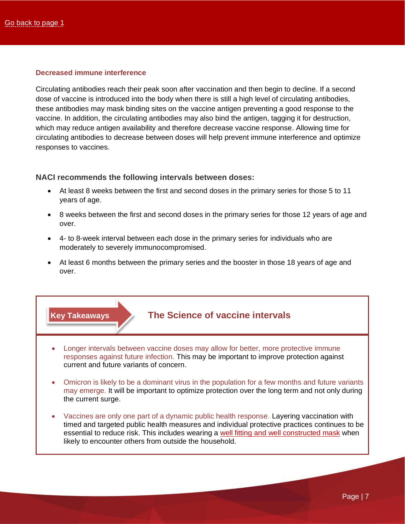### **Decreased immune interference**

Circulating antibodies reach their peak soon after vaccination and then begin to decline. If a second dose of vaccine is introduced into the body when there is still a high level of circulating antibodies, these antibodies may mask binding sites on the vaccine antigen preventing a good response to the vaccine. In addition, the circulating antibodies may also bind the antigen, tagging it for destruction, which may reduce antigen availability and therefore decrease vaccine response. Allowing time for circulating antibodies to decrease between doses will help prevent immune interference and optimize responses to vaccines.

### **NACI recommends the following intervals between doses:**

- At least 8 weeks between the first and second doses in the primary series for those 5 to 11 years of age.
- 8 weeks between the first and second doses in the primary series for those 12 years of age and over.
- 4- to 8-week interval between each dose in the primary series for individuals who are moderately to severely immunocompromised.
- At least 6 months between the primary series and the booster in those 18 years of age and over.

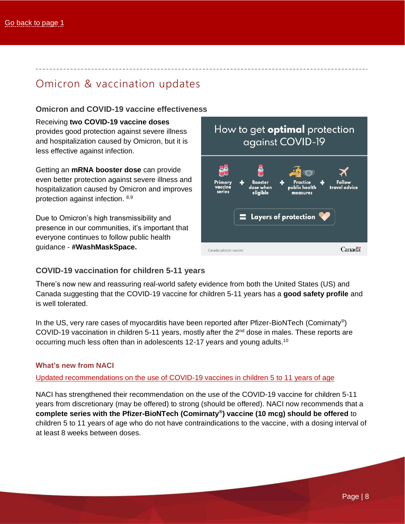# <span id="page-7-0"></span>Omicron & vaccination updates

### **Omicron and COVID-19 vaccine effectiveness**

Receiving **two COVID-19 vaccine doses** provides good protection against severe illness and hospitalization caused by Omicron, but it is less effective against infection.

Getting an **mRNA booster dose** can provide even better protection against severe illness and hospitalization caused by Omicron and improves protection against infection. 8,9

Due to Omicron's high transmissibility and presence in our communities, it's important that everyone continues to follow public health guidance - **#WashMaskSpace.**



### **COVID-19 vaccination for children 5-11 years**

There's now new and reassuring real-world safety evidence from both the United States (US) and Canada suggesting that the COVID-19 vaccine for children 5-11 years has a **good safety profile** and is well tolerated.

In the US, very rare cases of myocarditis have been reported after Pfizer-BioNTech (Comirnaty®) COVID-19 vaccination in children 5-11 years, mostly after the  $2<sup>nd</sup>$  dose in males. These reports are occurring much less often than in adolescents 12-17 years and young adults.<sup>10</sup>

### **What's new from NACI**

[Updated recommendations on the use of COVID-19 vaccines in children 5 to 11 years of age](https://bit.ly/EN-PHAC-NACI-C19Vaccines-5-11)

NACI has strengthened their recommendation on the use of the COVID-19 vaccine for children 5-11 years from discretionary (may be offered) to strong (should be offered). NACI now recommends that a **complete series with the Pfizer-BioNTech (Comirnaty® ) vaccine (10 mcg) should be offered** to children 5 to 11 years of age who do not have contraindications to the vaccine, with a dosing interval of at least 8 weeks between doses.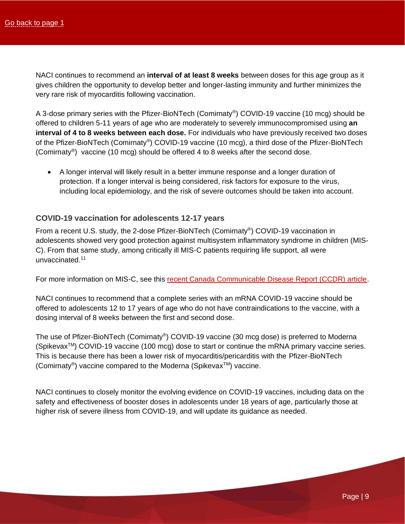NACI continues to recommend an **interval of at least 8 weeks** between doses for this age group as it gives children the opportunity to develop better and longer-lasting immunity and further minimizes the very rare risk of myocarditis following vaccination.

A 3-dose primary series with the Pfizer-BioNTech (Comirnaty®) COVID-19 vaccine (10 mcg) should be offered to children 5-11 years of age who are moderately to severely immunocompromised using **an interval of 4 to 8 weeks between each dose.** For individuals who have previously received two doses of the Pfizer-BioNTech (Comirnaty®) COVID-19 vaccine (10 mcg), a third dose of the Pfizer-BioNTech (Comirnaty® ) vaccine (10 mcg) should be offered 4 to 8 weeks after the second dose.

• A longer interval will likely result in a better immune response and a longer duration of protection. If a longer interval is being considered, risk factors for exposure to the virus, including local epidemiology, and the risk of severe outcomes should be taken into account.

### **COVID-19 vaccination for adolescents 12-17 years**

From a recent U.S. study, the 2-dose Pfizer-BioNTech (Comirnaty®) COVID-19 vaccination in adolescents showed very good protection against multisystem inflammatory syndrome in children (MIS-C). From that same study, among critically ill MIS-C patients requiring life support, all were unvaccinated. 11

For more information on MIS-C, see this [recent Canada Communicable Disease Report \(CCDR\) article.](https://bit.ly/EN-PHAC-CCDR-MIS-C)

NACI continues to recommend that a complete series with an mRNA COVID-19 vaccine should be offered to adolescents 12 to 17 years of age who do not have contraindications to the vaccine, with a dosing interval of 8 weeks between the first and second dose.

The use of Pfizer-BioNTech (Comirnaty®) COVID-19 vaccine (30 mcg dose) is preferred to Moderna  $(S$ pikevax<sup>TM</sup>) COVID-19 vaccine (100 mcg) dose to start or continue the mRNA primary vaccine series. This is because there has been a lower risk of myocarditis/pericarditis with the Pfizer-BioNTech (Comirnaty®) vaccine compared to the Moderna (Spikevax™) vaccine.

NACI continues to closely monitor the evolving evidence on COVID-19 vaccines, including data on the safety and effectiveness of booster doses in adolescents under 18 years of age, particularly those at higher risk of severe illness from COVID-19, and will update its guidance as needed.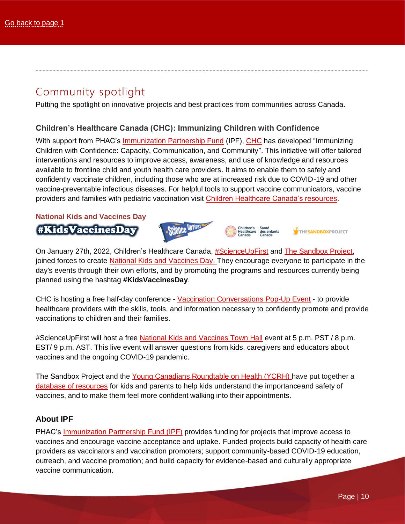### Community spotlight

<span id="page-9-0"></span>Putting the spotlight on innovative projects and best practices from communities across Canada.

### **Children's Healthcare Canada (CHC): Immunizing Children with Confidence**

With support from PHAC's [Immunization Partnership Fund](https://bit.ly/3FZjPzE) (IPF), [CHC](https://bit.ly/EN-CHC-Home) has developed "Immunizing Children with Confidence: Capacity, Communication, and Community". This initiative will offer tailored interventions and resources to improve access, awareness, and use of knowledge and resources available to frontline child and youth health care providers. It aims to enable them to safely and confidently vaccinate children, including those who are at increased risk due to COVID-19 and other vaccine-preventable infectious diseases. For helpful tools to support vaccine communicators, vaccine providers and families with pediatric vaccination visit [Children Healthcare Canada's resources.](https://bit.ly/EN-CHC-Resources)

### **National Kids and Vaccines Day** #KidsVaccinesDay



On January 27th, 2022, Children's Healthcare Canada, [#ScienceUpFirst](https://bit.ly/EN-ScienceUpFirst) and [The Sandbox Project,](https://bit.ly/ENOnly-SandboxProject) joined forces to create [National Kids and Vaccines Day.](https://bit.ly/EN-ScienceUpFirst-KidsVaccinesDay) They encourage everyone to participate in the day's events through their own efforts, and by promoting the programs and resources currently being planned using the hashtag **#KidsVaccinesDay**.

CHC is hosting a free half-day conference - Vaccination [Conversations](https://bit.ly/3eas14p) Pop-Up Event - to provide healthcare providers with the skills, tools, and information necessary to confidently promote and provide vaccinations to children and their families.

[#ScienceUpFirst](https://www.scienceupfirst.com/) will host a free [National Kids and Vaccines Town Hall](https://bit.ly/EN-ScienceUpFirst-TownHallevent) event at 5 p.m. PST / 8 p.m. EST/ 9 p.m. AST. This live event will answer questions from kids, caregivers and educators about vaccines and the ongoing COVID-19 pandemic.

The Sandbox Project and the [Young Canadians Roundtable on Health \(YCRH\) h](https://bit.ly/EN-Sandbox-YouthRoundTable)ave put together a [database of resources](https://bit.ly/EN-ScienceUpFirst-KidsVaccinesDay) for kids and parents to help kids understand the importanceand safety of vaccines, and to make them feel more confident walking into their appointments.

### **About IPF**

PHAC's [Immunization Partnership Fund \(IPF\)](https://bit.ly/3FZjPzE) provides funding for projects that improve access to vaccines and encourage vaccine acceptance and uptake. Funded projects build capacity of health care providers as vaccinators and vaccination promoters; support community-based COVID-19 education, outreach, and vaccine promotion; and build capacity for evidence-based and culturally appropriate vaccine communication.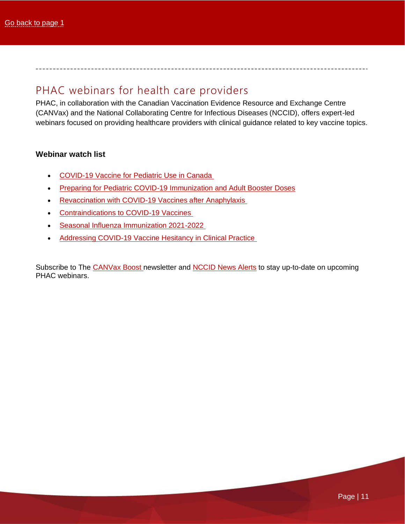### PHAC webinars for health care providers

<span id="page-10-0"></span>PHAC, in collaboration with the Canadian Vaccination Evidence Resource and Exchange Centre (CANVax) and the National Collaborating Centre for Infectious Diseases (NCCID), offers expert-led webinars focused on providing healthcare providers with clinical guidance related to key vaccine topics.

### **Webinar watch list**

- [COVID-19 Vaccine for Pediatric Use in Canada](https://bit.ly/EN-NCCID-Webinar-C19vaccine-Pediatric)
- [Preparing for Pediatric COVID-19 Immunization and Adult Booster Doses](https://bit.ly/canvax-webinar-C19-pediatric-adult-boosters-en)
- [Revaccination with COVID-19 Vaccines after Anaphylaxis](https://bit.ly/EN-CANVax-Webinar-C19vaccines-Anaphylaxis)
- [Contraindications to COVID-19 Vaccines](https://bit.ly/EN-CANVax-Webinar-C19vaccines-Contraindications)
- [Seasonal Influenza Immunization 2021-2022](https://bit.ly/EN-NCCID-Webinar-Flu-2021-22)
- [Addressing COVID-19 Vaccine Hesitancy in Clinical Practice](https://bit.ly/EN-Webinar-NCCID-C19Vaccines-Hesitancy)

Subscribe to The [CANVax Boost](https://canvax.ca/subscribe?email=) newsletter and [NCCID News Alerts](https://centreinfection.formstack.com/forms/alerts) to stay up-to-date on upcoming PHAC webinars.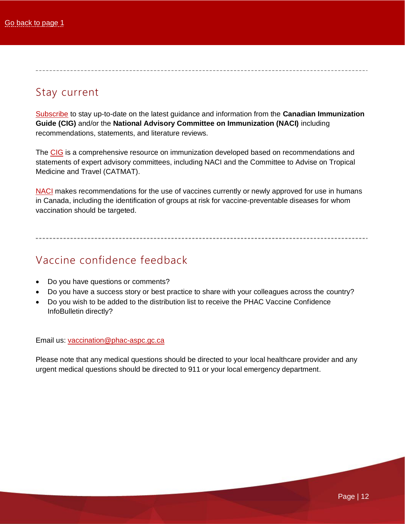# Stay current

<span id="page-11-0"></span>[Subscribe](https://bit.ly/3mlbTS4) to stay up-to-date on the latest guidance and information from the **Canadian Immunization Guide (CIG)** and/or the **National Advisory Committee on Immunization (NACI)** including recommendations, statements, and literature reviews.

The [CIG](https://bit.ly/3qbPdVE) is a comprehensive resource on immunization developed based on recommendations and statements of expert advisory committees, including NACI and the Committee to Advise on Tropical Medicine and Travel (CATMAT).

[NACI](https://bit.ly/3qeJjmI) makes recommendations for the use of vaccines currently or newly approved for use in humans in Canada, including the identification of groups at risk for vaccine-preventable diseases for whom vaccination should be targeted.

## Vaccine confidence feedback

- <span id="page-11-1"></span>• Do you have questions or comments?
- Do you have a success story or best practice to share with your colleagues across the country?
- Do you wish to be added to the distribution list to receive the PHAC Vaccine Confidence InfoBulletin directly?

Email us: [vaccination@phac-aspc.gc.ca](mailto:vaccination@phac-aspc.gc.ca)

Please note that any medical questions should be directed to your local healthcare provider and any urgent medical questions should be directed to 911 or your local emergency department.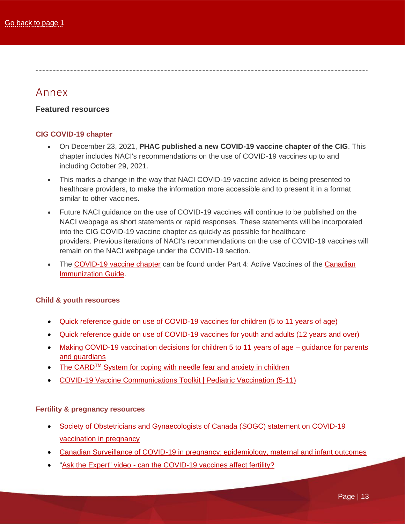### Annex

### <span id="page-12-0"></span>**Featured resources**

### **CIG COVID-19 chapter**

- On December 23, 2021, **PHAC published a new COVID-19 vaccine chapter of the CIG**. This chapter includes NACI's recommendations on the use of COVID-19 vaccines up to and including October 29, 2021.
- This marks a change in the way that NACI COVID-19 vaccine advice is being presented to healthcare providers, to make the information more accessible and to present it in a format similar to other vaccines.
- Future NACI guidance on the use of COVID-19 vaccines will continue to be published on the NACI webpage as short statements or rapid responses. These statements will be incorporated into the CIG COVID-19 vaccine chapter as quickly as possible for healthcare providers. Previous iterations of NACI's recommendations on the use of COVID-19 vaccines will remain on the NACI webpage under the COVID-19 section.
- The [COVID-19 vaccine chapter](https://bit.ly/EN-PHAC-CIGCovidChapter) can be found under Part 4: Active Vaccines of the Canadian [Immunization Guide.](https://bit.ly/3qbPdVE)

### **Child & youth resources**

- [Quick reference guide on use of COVID-19 vaccines for children \(5 to 11 years of age\)](https://bit.ly/EN-PHAC-QRG-5-11)
- [Quick reference guide on use of COVID-19 vaccines for youth and adults \(12 years and over\)](https://bit.ly/EN-PHAC-QRG-12older)
- [Making COVID-19 vaccination decisions for children 5 to 11 years of age](https://bit.ly/EN-PHAC-C19vaccines-parent-decisions) guidance for parents [and guardians](https://bit.ly/EN-PHAC-C19vaccines-parent-decisions)
- The CARD<sup>TM</sup> [System for coping with needle fear and anxiety in children](https://bit.ly/EN-AboutKidsHealth-CARD)
- [COVID-19 Vaccine Communications Toolkit | Pediatric Vaccination \(5-11\)](https://bit.ly/3H5e1G2)

### **Fertility & pregnancy resources**

- [Society of Obstetricians and Gynaecologists of Canada \(SOGC\)](https://bit.ly/EN-SOGC-C19Vaccines-PregnancyStatement) statement on COVID-19 vaccination [in pregnancy](https://bit.ly/EN-SOGC-C19Vaccines-PregnancyStatement)
- [Canadian Surveillance of COVID-19 in pregnancy: epidemiology, maternal and infant outcomes](https://bit.ly/EN-UBC-CanadianSurveillanceC19inPregnancy)
- "Ask the Expert" video can [the COVID-19 vaccines affect fertility?](https://bit.ly/EN-PHAC-AskExpert-C19-Fertility)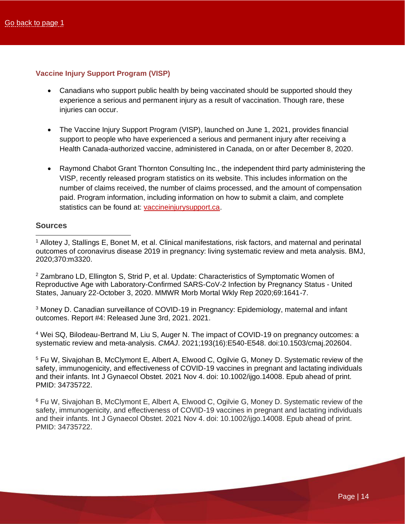### **Vaccine Injury Support Program (VISP)**

- Canadians who support public health by being vaccinated should be supported should they experience a serious and permanent injury as a result of vaccination. Though rare, these injuries can occur.
- The Vaccine Injury Support Program (VISP), launched on June 1, 2021, provides financial support to people who have experienced a serious and permanent injury after receiving a Health Canada-authorized vaccine, administered in Canada, on or after December 8, 2020.
- Raymond Chabot Grant Thornton Consulting Inc., the independent third party administering the VISP, recently released program statistics on its website. This includes information on the number of claims received, the number of claims processed, and the amount of compensation paid. Program information, including information on how to submit a claim, and complete statistics can be found at: [vaccineinjurysupport.ca.](https://bit.ly/EN-VISP)

### <span id="page-13-0"></span>**Sources**

<sup>1</sup> Allotey J, Stallings E, Bonet M, et al. Clinical manifestations, risk factors, and maternal and perinatal outcomes of coronavirus disease 2019 in pregnancy: living systematic review and meta analysis. BMJ, 2020;370:m3320.

<sup>2</sup> Zambrano LD, Ellington S, Strid P, et al. Update: Characteristics of Symptomatic Women of Reproductive Age with Laboratory-Confirmed SARS-CoV-2 Infection by Pregnancy Status - United States, January 22-October 3, 2020. MMWR Morb Mortal Wkly Rep 2020;69:1641-7.

<sup>3</sup> Money D. Canadian surveillance of COVID-19 in Pregnancy: Epidemiology, maternal and infant outcomes. Report #4: Released June 3rd, 2021. 2021.

<sup>4</sup> Wei SQ, Bilodeau-Bertrand M, Liu S, Auger N. The impact of COVID-19 on pregnancy outcomes: a systematic review and meta-analysis. *CMAJ*. 2021;193(16):E540-E548. doi:10.1503/cmaj.202604.

<sup>5</sup> Fu W, Sivajohan B, McClymont E, Albert A, Elwood C, Ogilvie G, Money D. Systematic review of the safety, immunogenicity, and effectiveness of COVID-19 vaccines in pregnant and lactating individuals and their infants. Int J Gynaecol Obstet. 2021 Nov 4. doi: 10.1002/ijgo.14008. Epub ahead of print. PMID: 34735722.

<sup>6</sup> Fu W, Sivajohan B, McClymont E, Albert A, Elwood C, Ogilvie G, Money D. Systematic review of the safety, immunogenicity, and effectiveness of COVID-19 vaccines in pregnant and lactating individuals and their infants. Int J Gynaecol Obstet. 2021 Nov 4. doi: 10.1002/ijgo.14008. Epub ahead of print. PMID: 34735722.